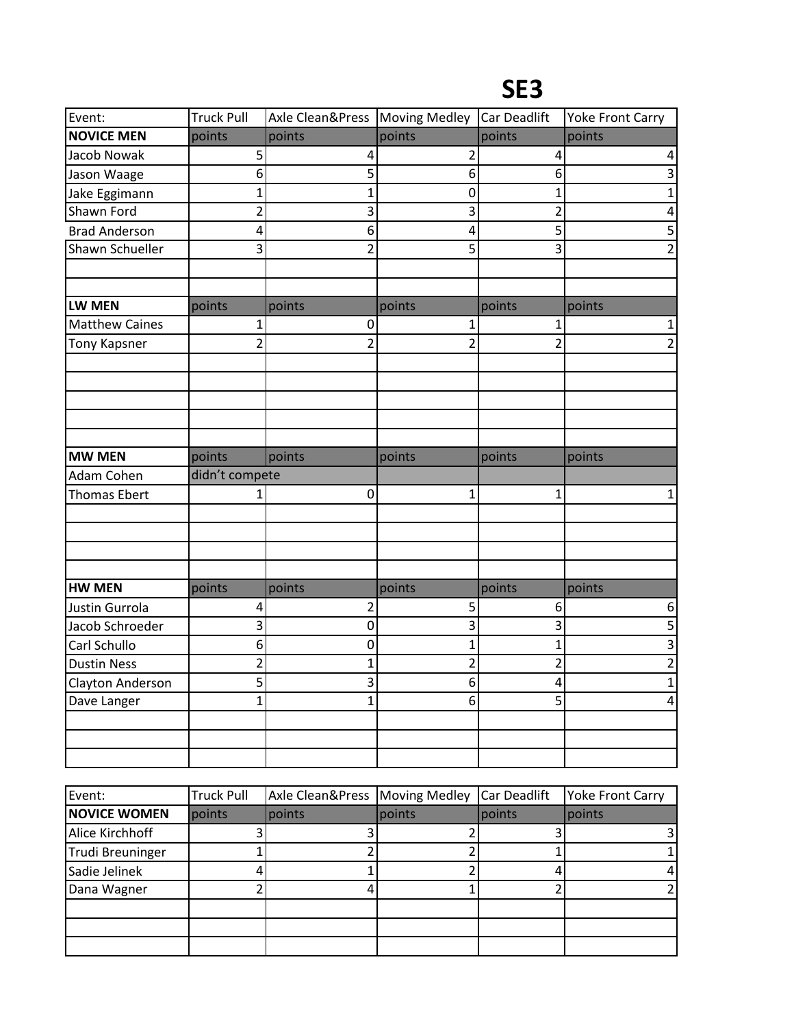| Event:                | <b>Truck Pull</b> | Axle Clean&Press   Moving Medley |                         | Car Deadlift   | <b>Yoke Front Carry</b> |
|-----------------------|-------------------|----------------------------------|-------------------------|----------------|-------------------------|
| <b>NOVICE MEN</b>     | points            | points                           | points                  | points         | points                  |
| Jacob Nowak           | 5                 | 4                                | $\overline{2}$          | 4              | 4                       |
| Jason Waage           | 6                 | 5                                | 6                       | 6              | 3                       |
| Jake Eggimann         | $\overline{1}$    | $\overline{1}$                   | $\mathbf 0$             | $\overline{1}$ | $\mathbf 1$             |
| Shawn Ford            | $\overline{2}$    | 3                                | 3                       | $\overline{2}$ | $\overline{\mathbf{4}}$ |
| <b>Brad Anderson</b>  | 4                 | 6                                | $\overline{\mathbf{4}}$ | 5              | $\overline{5}$          |
| Shawn Schueller       | 3                 | $\overline{2}$                   | 5                       | 3              | $\overline{2}$          |
| <b>LW MEN</b>         | points            | points                           | points                  | points         | points                  |
| <b>Matthew Caines</b> | 1                 | 0                                | 1                       | 1              | $\mathbf{1}$            |
| <b>Tony Kapsner</b>   | $\overline{2}$    | $\overline{2}$                   | $\overline{2}$          | $\overline{2}$ | $\overline{2}$          |
|                       |                   |                                  |                         |                |                         |
|                       |                   |                                  |                         |                |                         |
|                       |                   |                                  |                         |                |                         |
|                       |                   |                                  |                         |                |                         |
|                       |                   |                                  |                         |                |                         |
| <b>MW MEN</b>         | points            | points                           | points                  | points         | points                  |
| Adam Cohen            | didn't compete    |                                  |                         |                |                         |
| <b>Thomas Ebert</b>   | 1                 | 0                                | 1                       | 1              | $\mathbf{1}$            |
|                       |                   |                                  |                         |                |                         |
|                       |                   |                                  |                         |                |                         |
|                       |                   |                                  |                         |                |                         |
| <b>HW MEN</b>         | points            | points                           | points                  | points         | points                  |
| Justin Gurrola        | 4                 | $\overline{2}$                   | 5                       | 6              | 6                       |
| Jacob Schroeder       | 3                 | 0                                | 3                       | 3              | 5                       |
| Carl Schullo          | 6                 | 0                                | $\mathbf{1}$            | $\mathbf 1$    | $\overline{3}$          |
| <b>Dustin Ness</b>    | $\overline{2}$    | 1                                | $\overline{2}$          | $\overline{2}$ | $\overline{\mathbf{c}}$ |
| Clayton Anderson      | 5                 | 3                                | 6                       | 4              | $\mathbf{1}$            |
| Dave Langer           | $\mathbf 1$       | $\overline{1}$                   | 6                       | 5              | $\pmb{4}$               |
|                       |                   |                                  |                         |                |                         |
|                       |                   |                                  |                         |                |                         |
|                       |                   |                                  |                         |                |                         |

| Event:              | <b>Truck Pull</b> | Axle Clean&Press   Moving Medley |        | Car Deadlift | <b>Yoke Front Carry</b> |
|---------------------|-------------------|----------------------------------|--------|--------------|-------------------------|
| <b>NOVICE WOMEN</b> | points            | points                           | points | points       | points                  |
| Alice Kirchhoff     |                   |                                  |        |              |                         |
| Trudi Breuninger    |                   |                                  |        |              |                         |
| Sadie Jelinek       |                   |                                  |        |              | 4                       |
| Dana Wagner         |                   |                                  |        |              |                         |
|                     |                   |                                  |        |              |                         |
|                     |                   |                                  |        |              |                         |
|                     |                   |                                  |        |              |                         |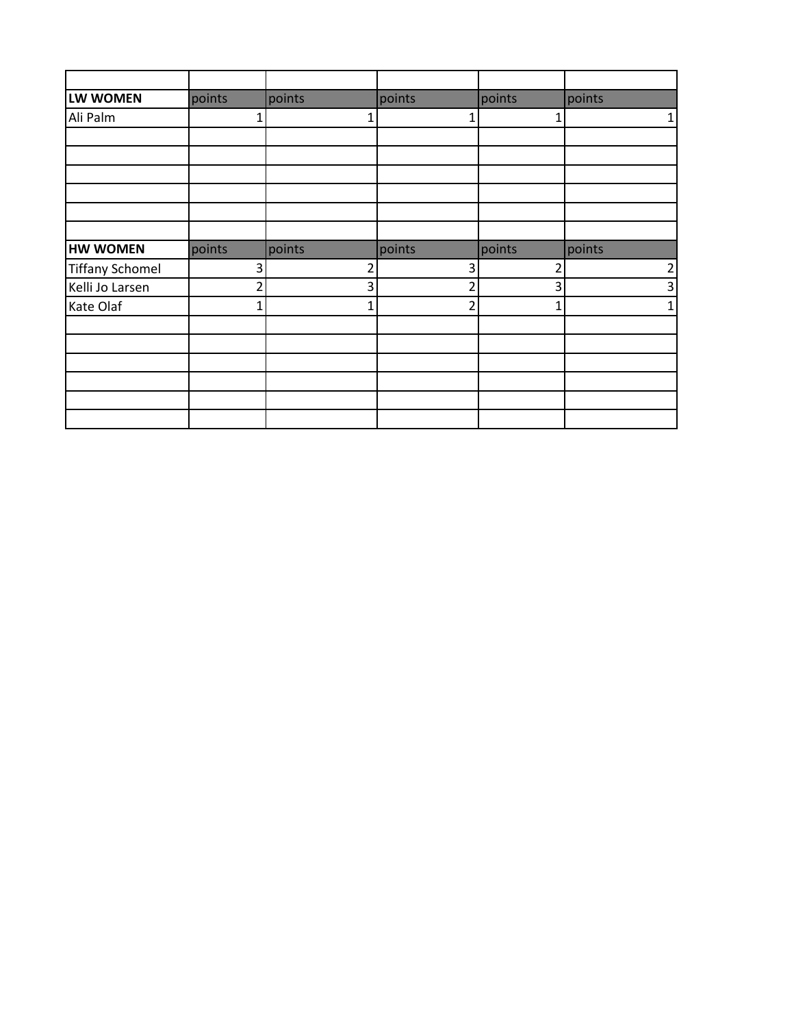| LW WOMEN               | points                   | points | points         | points | points         |
|------------------------|--------------------------|--------|----------------|--------|----------------|
| Ali Palm               | 1                        | 1      | 1              |        | $\mathbf 1$    |
|                        |                          |        |                |        |                |
|                        |                          |        |                |        |                |
|                        |                          |        |                |        |                |
|                        |                          |        |                |        |                |
|                        |                          |        |                |        |                |
|                        |                          |        |                |        |                |
| <b>HW WOMEN</b>        | points                   | points | points         | points | points         |
| <b>Tiffany Schomel</b> | 3                        | 2      | 3              | 2      | $\overline{c}$ |
| Kelli Jo Larsen        | $\overline{\mathcal{L}}$ | 3      | $\mathfrak{p}$ | 3      | 3              |
| Kate Olaf              |                          |        | $\mathfrak z$  |        | 1              |
|                        |                          |        |                |        |                |
|                        |                          |        |                |        |                |
|                        |                          |        |                |        |                |
|                        |                          |        |                |        |                |
|                        |                          |        |                |        |                |
|                        |                          |        |                |        |                |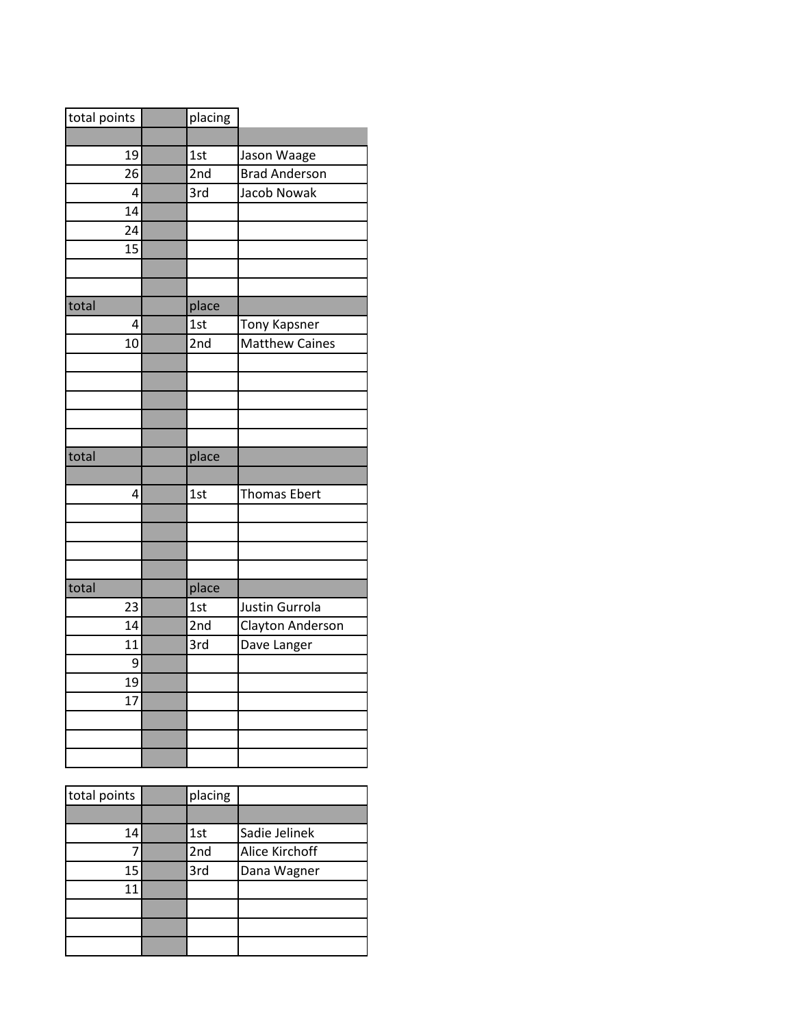| total points | placing |                       |
|--------------|---------|-----------------------|
|              |         |                       |
| 19           | 1st     | Jason Waage           |
| 26           | 2nd     | <b>Brad Anderson</b>  |
| 4            | 3rd     | Jacob Nowak           |
| 14           |         |                       |
| 24           |         |                       |
| 15           |         |                       |
|              |         |                       |
|              |         |                       |
| total        | place   |                       |
| 4            | 1st     | Tony Kapsner          |
| 10           | 2nd     | <b>Matthew Caines</b> |
|              |         |                       |
|              |         |                       |
|              |         |                       |
|              |         |                       |
|              |         |                       |
| total        | place   |                       |
|              |         |                       |
| 4            | 1st     | <b>Thomas Ebert</b>   |
|              |         |                       |
|              |         |                       |
|              |         |                       |
|              |         |                       |
| total        | place   |                       |
| 23           | 1st     | Justin Gurrola        |
| 14           | 2nd     | Clayton Anderson      |
| 11           | 3rd     | Dave Langer           |
| 9            |         |                       |
| 19           |         |                       |
| 17           |         |                       |
|              |         |                       |
|              |         |                       |
|              |         |                       |

| total points | placing |                |
|--------------|---------|----------------|
|              |         |                |
| 14           | 1st     | Sadie Jelinek  |
|              | 2nd     | Alice Kirchoff |
| 15           | 3rd     | Dana Wagner    |
| 11           |         |                |
|              |         |                |
|              |         |                |
|              |         |                |